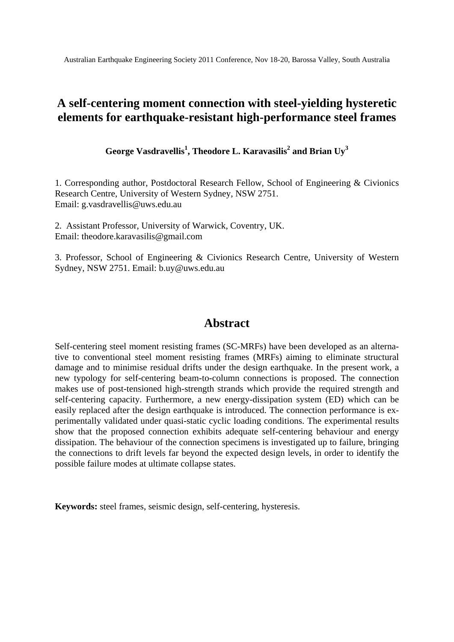# **A self-centering moment connection with steel-yielding hysteretic elements for earthquake-resistant high-performance steel frames**

**George Vasdravellis<sup>1</sup> , Theodore L. Karavasilis<sup>2</sup> and Brian Uy3**

1. Corresponding author, Postdoctoral Research Fellow, School of Engineering & Civionics Research Centre, University of Western Sydney, NSW 2751. Email: g.vasdravellis@uws.edu.au

2. Assistant Professor, University of Warwick, Coventry, UK. Email: theodore.karavasilis@gmail.com

3. Professor, School of Engineering & Civionics Research Centre, University of Western Sydney, NSW 2751. Email: b.uy@uws.edu.au

# **Abstract**

Self-centering steel moment resisting frames (SC-MRFs) have been developed as an alternative to conventional steel moment resisting frames (MRFs) aiming to eliminate structural damage and to minimise residual drifts under the design earthquake. In the present work, a new typology for self-centering beam-to-column connections is proposed. The connection makes use of post-tensioned high-strength strands which provide the required strength and self-centering capacity. Furthermore, a new energy-dissipation system (ED) which can be easily replaced after the design earthquake is introduced. The connection performance is experimentally validated under quasi-static cyclic loading conditions. The experimental results show that the proposed connection exhibits adequate self-centering behaviour and energy dissipation. The behaviour of the connection specimens is investigated up to failure, bringing the connections to drift levels far beyond the expected design levels, in order to identify the possible failure modes at ultimate collapse states.

**Keywords:** steel frames, seismic design, self-centering, hysteresis.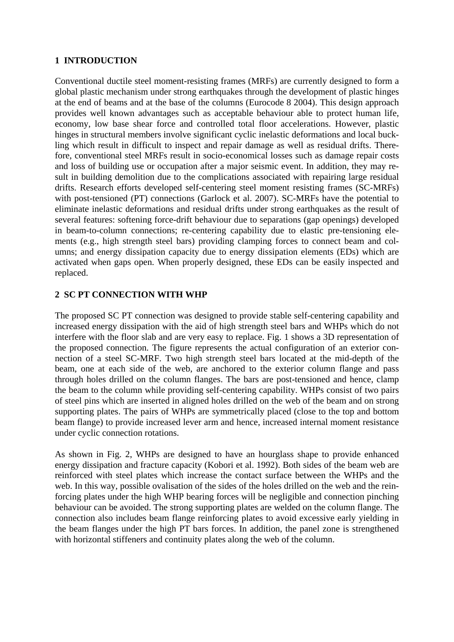# **1 INTRODUCTION**

Conventional ductile steel moment-resisting frames (MRFs) are currently designed to form a global plastic mechanism under strong earthquakes through the development of plastic hinges at the end of beams and at the base of the columns (Eurocode 8 2004). This design approach provides well known advantages such as acceptable behaviour able to protect human life, economy, low base shear force and controlled total floor accelerations. However, plastic hinges in structural members involve significant cyclic inelastic deformations and local buckling which result in difficult to inspect and repair damage as well as residual drifts. Therefore, conventional steel MRFs result in socio-economical losses such as damage repair costs and loss of building use or occupation after a major seismic event. In addition, they may result in building demolition due to the complications associated with repairing large residual drifts. Research efforts developed self-centering steel moment resisting frames (SC-MRFs) with post-tensioned (PT) connections (Garlock et al. 2007). SC-MRFs have the potential to eliminate inelastic deformations and residual drifts under strong earthquakes as the result of several features: softening force-drift behaviour due to separations (gap openings) developed in beam-to-column connections; re-centering capability due to elastic pre-tensioning elements (e.g., high strength steel bars) providing clamping forces to connect beam and columns; and energy dissipation capacity due to energy dissipation elements (EDs) which are activated when gaps open. When properly designed, these EDs can be easily inspected and replaced.

# **2 SC PT CONNECTION WITH WHP**

The proposed SC PT connection was designed to provide stable self-centering capability and increased energy dissipation with the aid of high strength steel bars and WHPs which do not interfere with the floor slab and are very easy to replace. Fig. 1 shows a 3D representation of the proposed connection. The figure represents the actual configuration of an exterior connection of a steel SC-MRF. Two high strength steel bars located at the mid-depth of the beam, one at each side of the web, are anchored to the exterior column flange and pass through holes drilled on the column flanges. The bars are post-tensioned and hence, clamp the beam to the column while providing self-centering capability. WHPs consist of two pairs of steel pins which are inserted in aligned holes drilled on the web of the beam and on strong supporting plates. The pairs of WHPs are symmetrically placed (close to the top and bottom beam flange) to provide increased lever arm and hence, increased internal moment resistance under cyclic connection rotations.

As shown in Fig. 2, WHPs are designed to have an hourglass shape to provide enhanced energy dissipation and fracture capacity (Kobori et al. 1992). Both sides of the beam web are reinforced with steel plates which increase the contact surface between the WHPs and the web. In this way, possible ovalisation of the sides of the holes drilled on the web and the reinforcing plates under the high WHP bearing forces will be negligible and connection pinching behaviour can be avoided. The strong supporting plates are welded on the column flange. The connection also includes beam flange reinforcing plates to avoid excessive early yielding in the beam flanges under the high PT bars forces. In addition, the panel zone is strengthened with horizontal stiffeners and continuity plates along the web of the column.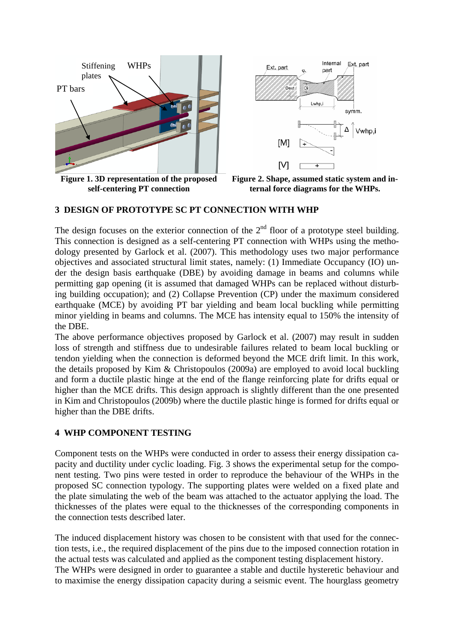



**Figure 1. 3D representation of the proposed self-centering PT connection**

**Figure 2. Shape, assumed static system and internal force diagrams for the WHPs.**

### **3 DESIGN OF PROTOTYPE SC PT CONNECTION WITH WHP**

The design focuses on the exterior connection of the  $2<sup>nd</sup>$  floor of a prototype steel building. This connection is designed as a self-centering PT connection with WHPs using the methodology presented by Garlock et al. (2007). This methodology uses two major performance objectives and associated structural limit states, namely: (1) Immediate Occupancy (IO) under the design basis earthquake (DBE) by avoiding damage in beams and columns while permitting gap opening (it is assumed that damaged WHPs can be replaced without disturbing building occupation); and (2) Collapse Prevention (CP) under the maximum considered earthquake (MCE) by avoiding PT bar yielding and beam local buckling while permitting minor yielding in beams and columns. The MCE has intensity equal to 150% the intensity of the DBE.

The above performance objectives proposed by Garlock et al. (2007) may result in sudden loss of strength and stiffness due to undesirable failures related to beam local buckling or tendon yielding when the connection is deformed beyond the MCE drift limit. In this work, the details proposed by Kim & Christopoulos (2009a) are employed to avoid local buckling and form a ductile plastic hinge at the end of the flange reinforcing plate for drifts equal or higher than the MCE drifts. This design approach is slightly different than the one presented in Kim and Christopoulos (2009b) where the ductile plastic hinge is formed for drifts equal or higher than the DBE drifts.

### **4 WHP COMPONENT TESTING**

Component tests on the WHPs were conducted in order to assess their energy dissipation capacity and ductility under cyclic loading. Fig. 3 shows the experimental setup for the component testing. Two pins were tested in order to reproduce the behaviour of the WHPs in the proposed SC connection typology. The supporting plates were welded on a fixed plate and the plate simulating the web of the beam was attached to the actuator applying the load. The thicknesses of the plates were equal to the thicknesses of the corresponding components in the connection tests described later.

The induced displacement history was chosen to be consistent with that used for the connection tests, i.e., the required displacement of the pins due to the imposed connection rotation in the actual tests was calculated and applied as the component testing displacement history. The WHPs were designed in order to guarantee a stable and ductile hysteretic behaviour and to maximise the energy dissipation capacity during a seismic event. The hourglass geometry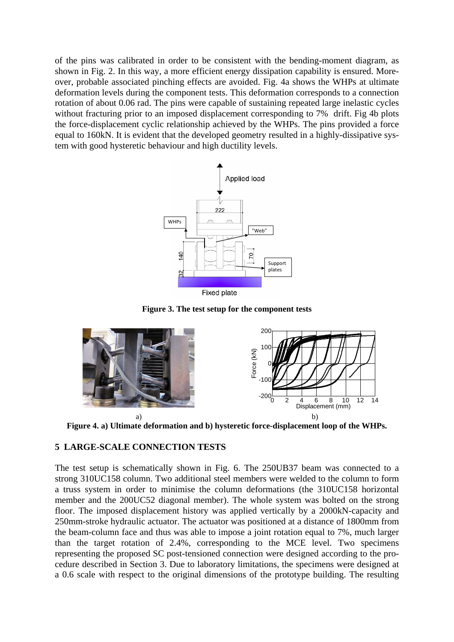of the pins was calibrated in order to be consistent with the bending-moment diagram, as shown in Fig. 2. In this way, a more efficient energy dissipation capability is ensured. Moreover, probable associated pinching effects are avoided. Fig. 4a shows the WHPs at ultimate deformation levels during the component tests. This deformation corresponds to a connection rotation of about 0.06 rad. The pins were capable of sustaining repeated large inelastic cycles without fracturing prior to an imposed displacement corresponding to 7% drift. Fig 4b plots the force-displacement cyclic relationship achieved by the WHPs. The pins provided a force equal to 160kN. It is evident that the developed geometry resulted in a highly-dissipative system with good hysteretic behaviour and high ductility levels.



**Figure 3. The test setup for the component tests**



**Figure 4. a) Ultimate deformation and b) hysteretic force-displacement loop of the WHPs.**

### **5 LARGE-SCALE CONNECTION TESTS**

The test setup is schematically shown in Fig. 6. The 250UB37 beam was connected to a strong 310UC158 column. Two additional steel members were welded to the column to form a truss system in order to minimise the column deformations (the 310UC158 horizontal member and the 200UC52 diagonal member). The whole system was bolted on the strong floor. The imposed displacement history was applied vertically by a 2000kN-capacity and 250mm-stroke hydraulic actuator. The actuator was positioned at a distance of 1800mm from the beam-column face and thus was able to impose a joint rotation equal to 7%, much larger than the target rotation of 2.4%, corresponding to the MCE level. Two specimens representing the proposed SC post-tensioned connection were designed according to the procedure described in Section 3. Due to laboratory limitations, the specimens were designed at a 0.6 scale with respect to the original dimensions of the prototype building. The resulting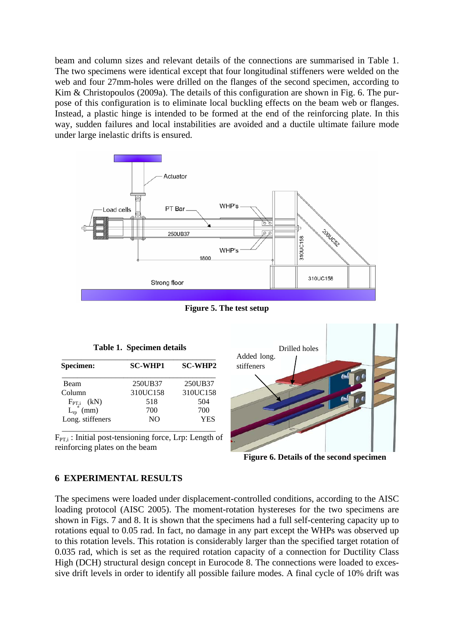beam and column sizes and relevant details of the connections are summarised in Table 1. The two specimens were identical except that four longitudinal stiffeners were welded on the web and four 27mm-holes were drilled on the flanges of the second specimen, according to Kim & Christopoulos (2009a). The details of this configuration are shown in Fig. 6. The purpose of this configuration is to eliminate local buckling effects on the beam web or flanges. Instead, a plastic hinge is intended to be formed at the end of the reinforcing plate. In this way, sudden failures and local instabilities are avoided and a ductile ultimate failure mode under large inelastic drifts is ensured.



**Figure 5. The test setup**

**Table 1. Specimen details**

| Specimen:                                           | <b>SC-WHP1</b> | <b>SC-WHP2</b> |
|-----------------------------------------------------|----------------|----------------|
| <b>Beam</b>                                         | 250UB37        | 250UB37        |
| Column                                              | 310UC158       | 310UC158       |
| (kN)                                                | 518            | 504            |
| $F_{PT,i}$ (kN<br>L <sub>rp</sub> <sup>*</sup> (mm) | 700            | 700            |
| Long. stiffeners                                    | N <sub>O</sub> | <b>YES</b>     |

 $F_{PT,i}$ : Initial post-tensioning force, Lrp: Length of reinforcing plates on the beam



**Figure 6. Details of the second specimen**

### **6 EXPERIMENTAL RESULTS**

The specimens were loaded under displacement-controlled conditions, according to the AISC loading protocol (AISC 2005). The moment-rotation hystereses for the two specimens are shown in Figs. 7 and 8. It is shown that the specimens had a full self-centering capacity up to rotations equal to 0.05 rad. In fact, no damage in any part except the WHPs was observed up to this rotation levels. This rotation is considerably larger than the specified target rotation of 0.035 rad, which is set as the required rotation capacity of a connection for Ductility Class High (DCH) structural design concept in Eurocode 8. The connections were loaded to excessive drift levels in order to identify all possible failure modes. A final cycle of 10% drift was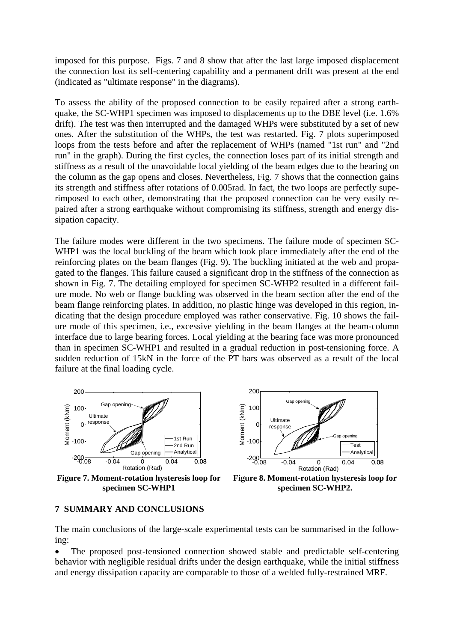imposed for this purpose. Figs. 7 and 8 show that after the last large imposed displacement the connection lost its self-centering capability and a permanent drift was present at the end (indicated as "ultimate response" in the diagrams).

To assess the ability of the proposed connection to be easily repaired after a strong earthquake, the SC-WHP1 specimen was imposed to displacements up to the DBE level (i.e. 1.6% drift). The test was then interrupted and the damaged WHPs were substituted by a set of new ones. After the substitution of the WHPs, the test was restarted. Fig. 7 plots superimposed loops from the tests before and after the replacement of WHPs (named "1st run" and "2nd run" in the graph). During the first cycles, the connection loses part of its initial strength and stiffness as a result of the unavoidable local yielding of the beam edges due to the bearing on the column as the gap opens and closes. Nevertheless, Fig. 7 shows that the connection gains its strength and stiffness after rotations of 0.005rad. In fact, the two loops are perfectly superimposed to each other, demonstrating that the proposed connection can be very easily repaired after a strong earthquake without compromising its stiffness, strength and energy dissipation capacity.

The failure modes were different in the two specimens. The failure mode of specimen SC-WHP1 was the local buckling of the beam which took place immediately after the end of the reinforcing plates on the beam flanges (Fig. 9). The buckling initiated at the web and propagated to the flanges. This failure caused a significant drop in the stiffness of the connection as shown in Fig. 7. The detailing employed for specimen SC-WHP2 resulted in a different failure mode. No web or flange buckling was observed in the beam section after the end of the beam flange reinforcing plates. In addition, no plastic hinge was developed in this region, indicating that the design procedure employed was rather conservative. Fig. 10 shows the failure mode of this specimen, i.e., excessive yielding in the beam flanges at the beam-column interface due to large bearing forces. Local yielding at the bearing face was more pronounced than in specimen SC-WHP1 and resulted in a gradual reduction in post-tensioning force. A sudden reduction of 15kN in the force of the PT bars was observed as a result of the local failure at the final loading cycle.



**Figure 7. Moment-rotation hysteresis loop for specimen SC-WHP1**



**Figure 8. Moment-rotation hysteresis loop for specimen SC-WHP2.**

#### **7 SUMMARY AND CONCLUSIONS**

The main conclusions of the large-scale experimental tests can be summarised in the following:

• The proposed post-tensioned connection showed stable and predictable self-centering behavior with negligible residual drifts under the design earthquake, while the initial stiffness and energy dissipation capacity are comparable to those of a welded fully-restrained MRF.